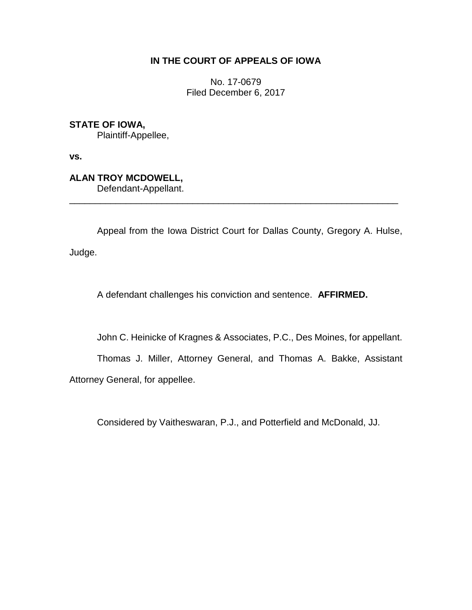## **IN THE COURT OF APPEALS OF IOWA**

No. 17-0679 Filed December 6, 2017

**STATE OF IOWA,**

Plaintiff-Appellee,

**vs.**

**ALAN TROY MCDOWELL,** Defendant-Appellant.

Appeal from the Iowa District Court for Dallas County, Gregory A. Hulse, Judge.

\_\_\_\_\_\_\_\_\_\_\_\_\_\_\_\_\_\_\_\_\_\_\_\_\_\_\_\_\_\_\_\_\_\_\_\_\_\_\_\_\_\_\_\_\_\_\_\_\_\_\_\_\_\_\_\_\_\_\_\_\_\_\_\_

A defendant challenges his conviction and sentence. **AFFIRMED.**

John C. Heinicke of Kragnes & Associates, P.C., Des Moines, for appellant.

Thomas J. Miller, Attorney General, and Thomas A. Bakke, Assistant Attorney General, for appellee.

Considered by Vaitheswaran, P.J., and Potterfield and McDonald, JJ.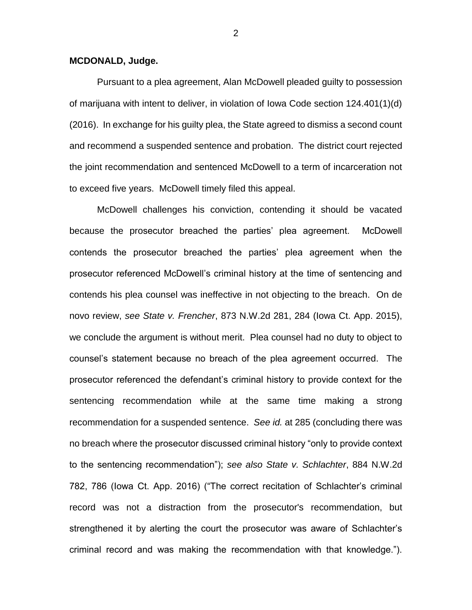## **MCDONALD, Judge.**

Pursuant to a plea agreement, Alan McDowell pleaded guilty to possession of marijuana with intent to deliver, in violation of Iowa Code section 124.401(1)(d) (2016). In exchange for his guilty plea, the State agreed to dismiss a second count and recommend a suspended sentence and probation. The district court rejected the joint recommendation and sentenced McDowell to a term of incarceration not to exceed five years. McDowell timely filed this appeal.

McDowell challenges his conviction, contending it should be vacated because the prosecutor breached the parties' plea agreement. McDowell contends the prosecutor breached the parties' plea agreement when the prosecutor referenced McDowell's criminal history at the time of sentencing and contends his plea counsel was ineffective in not objecting to the breach. On de novo review, *see State v. Frencher*, 873 N.W.2d 281, 284 (Iowa Ct. App. 2015), we conclude the argument is without merit. Plea counsel had no duty to object to counsel's statement because no breach of the plea agreement occurred. The prosecutor referenced the defendant's criminal history to provide context for the sentencing recommendation while at the same time making a strong recommendation for a suspended sentence. *See id.* at 285 (concluding there was no breach where the prosecutor discussed criminal history "only to provide context to the sentencing recommendation"); *see also State v. Schlachter*, 884 N.W.2d 782, 786 (Iowa Ct. App. 2016) ("The correct recitation of Schlachter's criminal record was not a distraction from the prosecutor's recommendation, but strengthened it by alerting the court the prosecutor was aware of Schlachter's criminal record and was making the recommendation with that knowledge.").